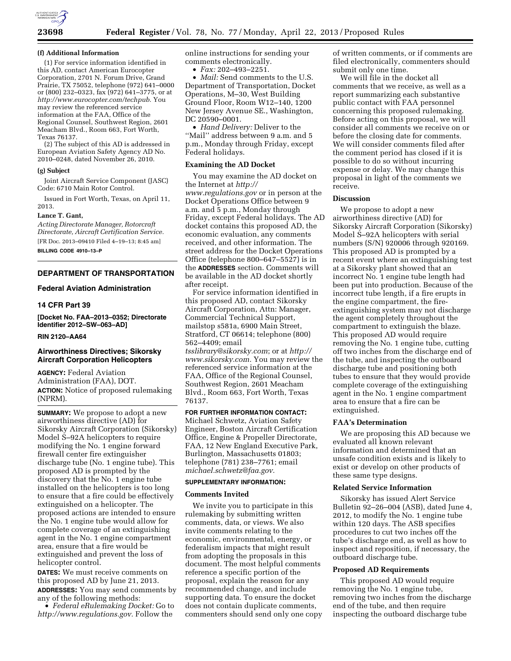

#### **(f) Additional Information**

(1) For service information identified in this AD, contact American Eurocopter Corporation, 2701 N. Forum Drive, Grand Prairie, TX 75052, telephone (972) 641–0000 or (800) 232–0323, fax (972) 641–3775, or at *[http://www.eurocopter.com/techpub.](http://www.eurocopter.com/techpub)* You may review the referenced service information at the FAA, Office of the Regional Counsel, Southwest Region, 2601 Meacham Blvd., Room 663, Fort Worth, Texas 76137.

(2) The subject of this AD is addressed in European Aviation Safety Agency AD No. 2010–0248, dated November 26, 2010.

### **(g) Subject**

Joint Aircraft Service Component (JASC) Code: 6710 Main Rotor Control.

Issued in Fort Worth, Texas, on April 11, 2013.

# **Lance T. Gant,**

*Acting Directorate Manager, Rotorcraft Directorate, Aircraft Certification Service.*  [FR Doc. 2013–09410 Filed 4–19–13; 8:45 am]

**BILLING CODE 4910–13–P** 

# **DEPARTMENT OF TRANSPORTATION**

# **Federal Aviation Administration**

### **14 CFR Part 39**

**[Docket No. FAA–2013–0352; Directorate Identifier 2012–SW–063–AD]** 

# **RIN 2120–AA64**

## **Airworthiness Directives; Sikorsky Aircraft Corporation Helicopters**

**AGENCY:** Federal Aviation Administration (FAA), DOT. **ACTION:** Notice of proposed rulemaking (NPRM).

**SUMMARY:** We propose to adopt a new airworthiness directive (AD) for Sikorsky Aircraft Corporation (Sikorsky) Model S–92A helicopters to require modifying the No. 1 engine forward firewall center fire extinguisher discharge tube (No. 1 engine tube). This proposed AD is prompted by the discovery that the No. 1 engine tube installed on the helicopters is too long to ensure that a fire could be effectively extinguished on a helicopter. The proposed actions are intended to ensure the No. 1 engine tube would allow for complete coverage of an extinguishing agent in the No. 1 engine compartment area, ensure that a fire would be extinguished and prevent the loss of helicopter control.

**DATES:** We must receive comments on this proposed AD by June 21, 2013. **ADDRESSES:** You may send comments by

any of the following methods: • *Federal eRulemaking Docket:* Go to *[http://www.regulations.gov.](http://www.regulations.gov)* Follow the

online instructions for sending your comments electronically.

• *Fax:* 202–493–2251.

• *Mail:* Send comments to the U.S. Department of Transportation, Docket Operations, M–30, West Building Ground Floor, Room W12–140, 1200 New Jersey Avenue SE., Washington, DC 20590–0001.

• *Hand Delivery:* Deliver to the ''Mail'' address between 9 a.m. and 5 p.m., Monday through Friday, except Federal holidays.

## **Examining the AD Docket**

You may examine the AD docket on the Internet at *[http://](http://www.regulations.gov)  [www.regulations.gov](http://www.regulations.gov)* or in person at the Docket Operations Office between 9 a.m. and 5 p.m., Monday through Friday, except Federal holidays. The AD docket contains this proposed AD, the economic evaluation, any comments received, and other information. The street address for the Docket Operations Office (telephone 800–647–5527) is in the **ADDRESSES** section. Comments will be available in the AD docket shortly after receipt.

For service information identified in this proposed AD, contact Sikorsky Aircraft Corporation, Attn: Manager, Commercial Technical Support, mailstop s581a, 6900 Main Street, Stratford, CT 06614; telephone (800) 562–4409; email *[tsslibrary@sikorsky.com](mailto:tsslibrary@sikorsky.com)*; or at *[http://](http://www.sikorsky.com) [www.sikorsky.com.](http://www.sikorsky.com)* You may review the referenced service information at the FAA, Office of the Regional Counsel, Southwest Region, 2601 Meacham Blvd., Room 663, Fort Worth, Texas 76137.

## **FOR FURTHER INFORMATION CONTACT:**

Michael Schwetz, Aviation Safety Engineer, Boston Aircraft Certification Office, Engine & Propeller Directorate, FAA, 12 New England Executive Park, Burlington, Massachusetts 01803; telephone (781) 238–7761; email *[michael.schwetz@faa.gov.](mailto:michael.schwetz@faa.gov)* 

### **SUPPLEMENTARY INFORMATION:**

#### **Comments Invited**

We invite you to participate in this rulemaking by submitting written comments, data, or views. We also invite comments relating to the economic, environmental, energy, or federalism impacts that might result from adopting the proposals in this document. The most helpful comments reference a specific portion of the proposal, explain the reason for any recommended change, and include supporting data. To ensure the docket does not contain duplicate comments, commenters should send only one copy of written comments, or if comments are filed electronically, commenters should submit only one time.

We will file in the docket all comments that we receive, as well as a report summarizing each substantive public contact with FAA personnel concerning this proposed rulemaking. Before acting on this proposal, we will consider all comments we receive on or before the closing date for comments. We will consider comments filed after the comment period has closed if it is possible to do so without incurring expense or delay. We may change this proposal in light of the comments we receive.

### **Discussion**

We propose to adopt a new airworthiness directive (AD) for Sikorsky Aircraft Corporation (Sikorsky) Model S–92A helicopters with serial numbers (S/N) 920006 through 920169. This proposed AD is prompted by a recent event where an extinguishing test at a Sikorsky plant showed that an incorrect No. 1 engine tube length had been put into production. Because of the incorrect tube length, if a fire erupts in the engine compartment, the fireextinguishing system may not discharge the agent completely throughout the compartment to extinguish the blaze. This proposed AD would require removing the No. 1 engine tube, cutting off two inches from the discharge end of the tube, and inspecting the outboard discharge tube and positioning both tubes to ensure that they would provide complete coverage of the extinguishing agent in the No. 1 engine compartment area to ensure that a fire can be extinguished.

## **FAA's Determination**

We are proposing this AD because we evaluated all known relevant information and determined that an unsafe condition exists and is likely to exist or develop on other products of these same type designs.

### **Related Service Information**

Sikorsky has issued Alert Service Bulletin 92–26–004 (ASB), dated June 4, 2012, to modify the No. 1 engine tube within 120 days. The ASB specifies procedures to cut two inches off the tube's discharge end, as well as how to inspect and reposition, if necessary, the outboard discharge tube.

#### **Proposed AD Requirements**

This proposed AD would require removing the No. 1 engine tube, removing two inches from the discharge end of the tube, and then require inspecting the outboard discharge tube